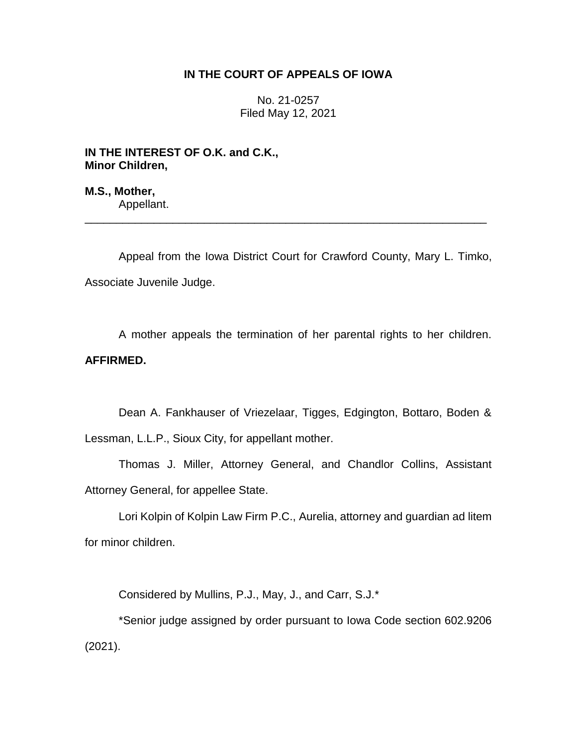## **IN THE COURT OF APPEALS OF IOWA**

No. 21-0257 Filed May 12, 2021

**IN THE INTEREST OF O.K. and C.K., Minor Children,**

**M.S., Mother,** Appellant.

Appeal from the Iowa District Court for Crawford County, Mary L. Timko, Associate Juvenile Judge.

\_\_\_\_\_\_\_\_\_\_\_\_\_\_\_\_\_\_\_\_\_\_\_\_\_\_\_\_\_\_\_\_\_\_\_\_\_\_\_\_\_\_\_\_\_\_\_\_\_\_\_\_\_\_\_\_\_\_\_\_\_\_\_\_

A mother appeals the termination of her parental rights to her children. **AFFIRMED.**

Dean A. Fankhauser of Vriezelaar, Tigges, Edgington, Bottaro, Boden & Lessman, L.L.P., Sioux City, for appellant mother.

Thomas J. Miller, Attorney General, and Chandlor Collins, Assistant Attorney General, for appellee State.

Lori Kolpin of Kolpin Law Firm P.C., Aurelia, attorney and guardian ad litem for minor children.

Considered by Mullins, P.J., May, J., and Carr, S.J.\*

\*Senior judge assigned by order pursuant to Iowa Code section 602.9206 (2021).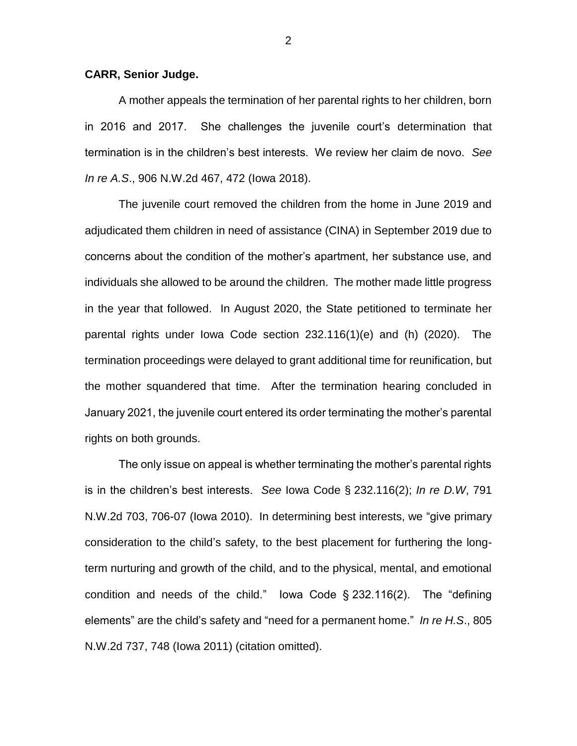## **CARR, Senior Judge.**

A mother appeals the termination of her parental rights to her children, born in 2016 and 2017. She challenges the juvenile court's determination that termination is in the children's best interests. We review her claim de novo. *See In re A.S*., 906 N.W.2d 467, 472 (Iowa 2018).

The juvenile court removed the children from the home in June 2019 and adjudicated them children in need of assistance (CINA) in September 2019 due to concerns about the condition of the mother's apartment, her substance use, and individuals she allowed to be around the children. The mother made little progress in the year that followed. In August 2020, the State petitioned to terminate her parental rights under Iowa Code section 232.116(1)(e) and (h) (2020). The termination proceedings were delayed to grant additional time for reunification, but the mother squandered that time. After the termination hearing concluded in January 2021, the juvenile court entered its order terminating the mother's parental rights on both grounds.

The only issue on appeal is whether terminating the mother's parental rights is in the children's best interests. *See* Iowa Code § 232.116(2); *In re D.W*, 791 N.W.2d 703, 706-07 (Iowa 2010). In determining best interests, we "give primary consideration to the child's safety, to the best placement for furthering the longterm nurturing and growth of the child, and to the physical, mental, and emotional condition and needs of the child." Iowa Code § 232.116(2). The "defining elements" are the child's safety and "need for a permanent home." *In re H.S*., 805 N.W.2d 737, 748 (Iowa 2011) (citation omitted).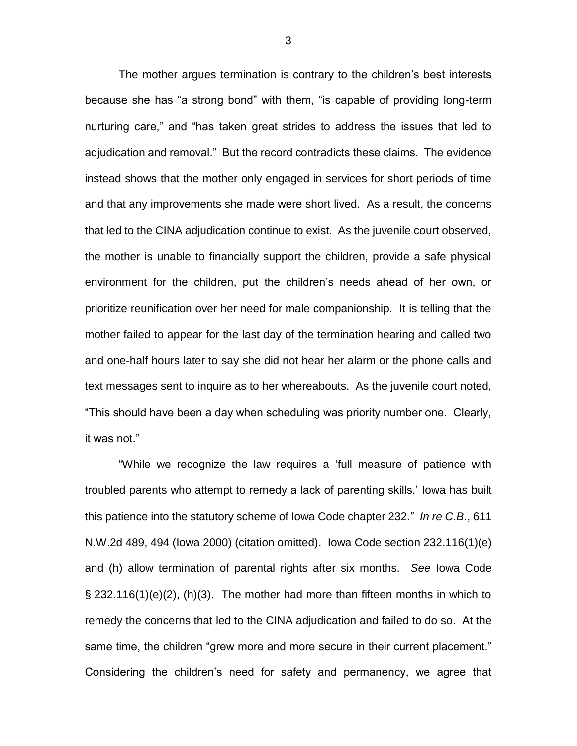The mother argues termination is contrary to the children's best interests because she has "a strong bond" with them, "is capable of providing long-term nurturing care," and "has taken great strides to address the issues that led to adjudication and removal." But the record contradicts these claims. The evidence instead shows that the mother only engaged in services for short periods of time and that any improvements she made were short lived. As a result, the concerns that led to the CINA adjudication continue to exist. As the juvenile court observed, the mother is unable to financially support the children, provide a safe physical environment for the children, put the children's needs ahead of her own, or prioritize reunification over her need for male companionship. It is telling that the mother failed to appear for the last day of the termination hearing and called two and one-half hours later to say she did not hear her alarm or the phone calls and text messages sent to inquire as to her whereabouts. As the juvenile court noted, "This should have been a day when scheduling was priority number one. Clearly, it was not."

"While we recognize the law requires a 'full measure of patience with troubled parents who attempt to remedy a lack of parenting skills,' Iowa has built this patience into the statutory scheme of Iowa Code chapter 232." *In re C.B*., 611 N.W.2d 489, 494 (Iowa 2000) (citation omitted). Iowa Code section 232.116(1)(e) and (h) allow termination of parental rights after six months. *See* Iowa Code § 232.116(1)(e)(2), (h)(3). The mother had more than fifteen months in which to remedy the concerns that led to the CINA adjudication and failed to do so. At the same time, the children "grew more and more secure in their current placement." Considering the children's need for safety and permanency, we agree that